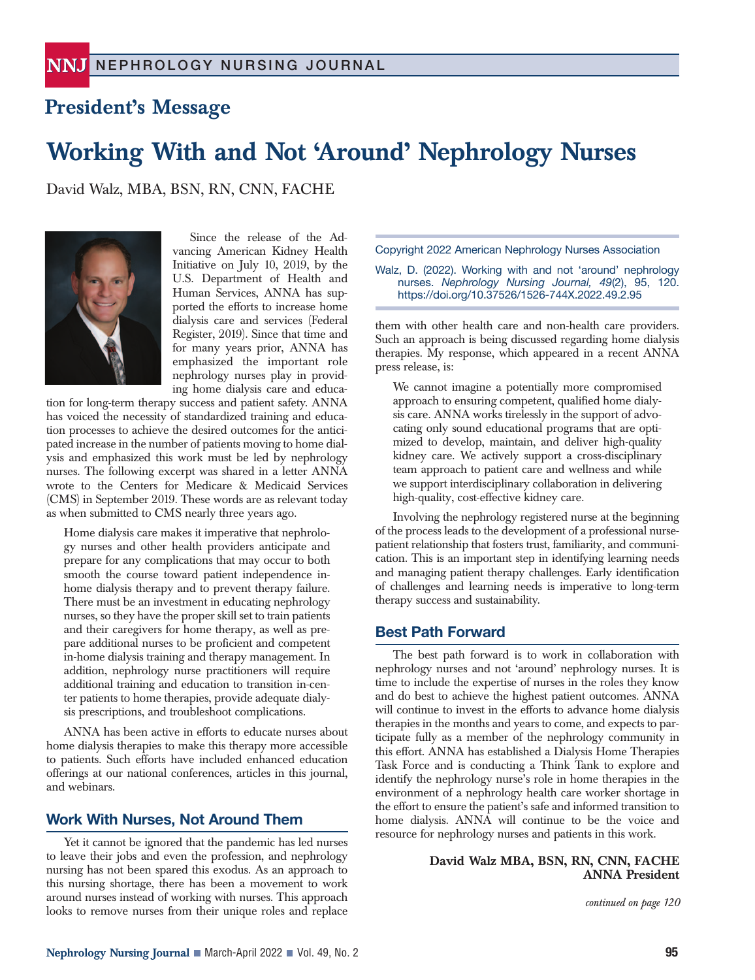# **President's Message**

# **Working With and Not 'Around' Nephrology Nurses**

David Walz, MBA, BSN, RN, CNN, FACHE



Since the release of the Advancing American Kidney Health Initiative on July 10, 2019, by the U.S. Department of Health and Human Services, ANNA has supported the efforts to increase home dialysis care and services (Federal Register, 2019). Since that time and for many years prior, ANNA has emphasized the important role nephrology nurses play in providing home dialysis care and educa-

tion for long-term therapy success and patient safety. ANNA has voiced the necessity of standardized training and education processes to achieve the desired outcomes for the anticipated increase in the number of patients moving to home dialysis and emphasized this work must be led by nephrology nurses. The following excerpt was shared in a letter ANNA wrote to the Centers for Medicare & Medicaid Services (CMS) in September 2019. These words are as relevant today as when submitted to CMS nearly three years ago.

Home dialysis care makes it imperative that nephrology nurses and other health providers anticipate and prepare for any complications that may occur to both smooth the course toward patient independence inhome dialysis therapy and to prevent therapy failure. There must be an investment in educating nephrology nurses, so they have the proper skill set to train patients and their caregivers for home therapy, as well as prepare additional nurses to be proficient and competent in-home dialysis training and therapy management. In addition, nephrology nurse practitioners will require additional training and education to transition in-center patients to home therapies, provide adequate dialysis prescriptions, and troubleshoot complications.

ANNA has been active in efforts to educate nurses about home dialysis therapies to make this therapy more accessible to patients. Such efforts have included enhanced education offerings at our national conferences, articles in this journal, and webinars.

### **Work With Nurses, Not Around Them**

Yet it cannot be ignored that the pandemic has led nurses to leave their jobs and even the profession, and nephrology nursing has not been spared this exodus. As an approach to this nursing shortage, there has been a movement to work around nurses instead of working with nurses. This approach looks to remove nurses from their unique roles and replace Copyright 2022 American Nephrology Nurses Association

Walz, D. (2022). Working with and not 'around' nephrology nurses. *Nephrology Nursing Journal, 49*(2), 95, 120. https://doi.org/10.37526/1526-744X.2022.49.2.95

them with other health care and non-health care providers. Such an approach is being discussed regarding home dialysis therapies. My response, which appeared in a recent ANNA press release, is:

We cannot imagine a potentially more compromised approach to ensuring competent, qualified home dialysis care. ANNA works tirelessly in the support of advocating only sound educational programs that are optimized to develop, maintain, and deliver high-quality kidney care. We actively support a cross-disciplinary team approach to patient care and wellness and while we support interdisciplinary collaboration in delivering high-quality, cost-effective kidney care.

Involving the nephrology registered nurse at the beginning of the process leads to the development of a professional nursepatient relationship that fosters trust, familiarity, and communication. This is an important step in identifying learning needs and managing patient therapy challenges. Early identification of challenges and learning needs is imperative to long-term therapy success and sustainability.

### **Best Path Forward**

The best path forward is to work in collaboration with nephrology nurses and not 'around' nephrology nurses. It is time to include the expertise of nurses in the roles they know and do best to achieve the highest patient outcomes. ANNA will continue to invest in the efforts to advance home dialysis therapies in the months and years to come, and expects to participate fully as a member of the nephrology community in this effort. ANNA has established a Dialysis Home Therapies Task Force and is conducting a Think Tank to explore and identify the nephrology nurse's role in home therapies in the environment of a nephrology health care worker shortage in the effort to ensure the patient's safe and informed transition to home dialysis. ANNA will continue to be the voice and resource for nephrology nurses and patients in this work.

#### **David Walz MBA, BSN, RN, CNN, FACHE ANNA President**

*continued on page 120*